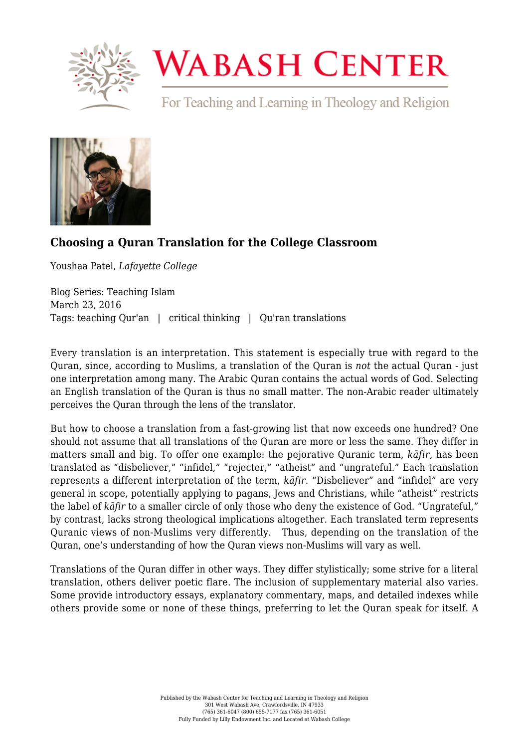

## **WABASH CENTER**

For Teaching and Learning in Theology and Religion



## **[Choosing a Quran Translation for the College Classroom](https://www.wabashcenter.wabash.edu/2016/03/choosing-a-quran-translation-for-the-college-classroom/)**

Youshaa Patel, *Lafayette College*

Blog Series: Teaching Islam March 23, 2016 Tags: teaching Qur'an | critical thinking | Qu'ran translations

Every translation is an interpretation. This statement is especially true with regard to the Quran, since, according to Muslims, a translation of the Quran is *not* the actual Quran - just one interpretation among many. The Arabic Quran contains the actual words of God. Selecting an English translation of the Quran is thus no small matter. The non-Arabic reader ultimately perceives the Quran through the lens of the translator.

But how to choose a translation from a fast-growing list that now exceeds one hundred? One should not assume that all translations of the Quran are more or less the same. They differ in matters small and big. To offer one example: the pejorative Quranic term, *kāfir,* has been translated as "disbeliever," "infidel," "rejecter," "atheist" and "ungrateful." Each translation represents a different interpretation of the term, *kāfir.* "Disbeliever" and "infidel" are very general in scope, potentially applying to pagans, Jews and Christians, while "atheist" restricts the label of *kāfir* to a smaller circle of only those who deny the existence of God. "Ungrateful," by contrast, lacks strong theological implications altogether. Each translated term represents Quranic views of non-Muslims very differently. Thus, depending on the translation of the Quran, one's understanding of how the Quran views non-Muslims will vary as well.

Translations of the Quran differ in other ways. They differ stylistically; some strive for a literal translation, others deliver poetic flare. The inclusion of supplementary material also varies. Some provide introductory essays, explanatory commentary, maps, and detailed indexes while others provide some or none of these things, preferring to let the Quran speak for itself. A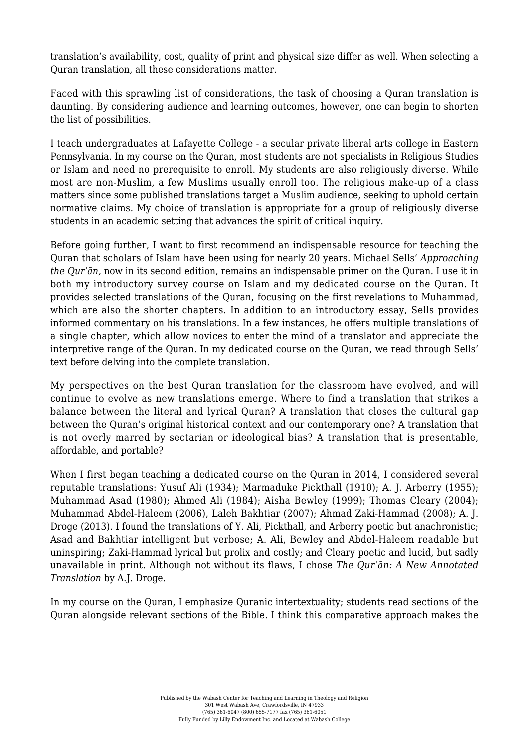translation's availability, cost, quality of print and physical size differ as well. When selecting a Quran translation, all these considerations matter.

Faced with this sprawling list of considerations, the task of choosing a Quran translation is daunting. By considering audience and learning outcomes, however, one can begin to shorten the list of possibilities.

I teach undergraduates at Lafayette College - a secular private liberal arts college in Eastern Pennsylvania. In my course on the Quran, most students are not specialists in Religious Studies or Islam and need no prerequisite to enroll. My students are also religiously diverse. While most are non-Muslim, a few Muslims usually enroll too. The religious make-up of a class matters since some published translations target a Muslim audience, seeking to uphold certain normative claims. My choice of translation is appropriate for a group of religiously diverse students in an academic setting that advances the spirit of critical inquiry.

Before going further, I want to first recommend an indispensable resource for teaching the Quran that scholars of Islam have been using for nearly 20 years. Michael Sells' *Approaching the Qurʾān,* now in its second edition, remains an indispensable primer on the Quran. I use it in both my introductory survey course on Islam and my dedicated course on the Quran. It provides selected translations of the Quran, focusing on the first revelations to Muhammad, which are also the shorter chapters. In addition to an introductory essay, Sells provides informed commentary on his translations. In a few instances, he offers multiple translations of a single chapter, which allow novices to enter the mind of a translator and appreciate the interpretive range of the Quran. In my dedicated course on the Quran, we read through Sells' text before delving into the complete translation.

My perspectives on the best Quran translation for the classroom have evolved, and will continue to evolve as new translations emerge. Where to find a translation that strikes a balance between the literal and lyrical Quran? A translation that closes the cultural gap between the Quran's original historical context and our contemporary one? A translation that is not overly marred by sectarian or ideological bias? A translation that is presentable, affordable, and portable?

When I first began teaching a dedicated course on the Quran in 2014, I considered several reputable translations: Yusuf Ali (1934); Marmaduke Pickthall (1910); A. J. Arberry (1955); Muhammad Asad (1980); Ahmed Ali (1984); Aisha Bewley (1999); Thomas Cleary (2004); Muhammad Abdel-Haleem (2006), Laleh Bakhtiar (2007); Ahmad Zaki-Hammad (2008); A. J. Droge (2013). I found the translations of Y. Ali, Pickthall, and Arberry poetic but anachronistic; Asad and Bakhtiar intelligent but verbose; A. Ali, Bewley and Abdel-Haleem readable but uninspiring; Zaki-Hammad lyrical but prolix and costly; and Cleary poetic and lucid, but sadly unavailable in print. Although not without its flaws, I chose *The Qurʾān: A New Annotated Translation* by A.J. Droge.

In my course on the Quran, I emphasize Quranic intertextuality; students read sections of the Quran alongside relevant sections of the Bible. I think this comparative approach makes the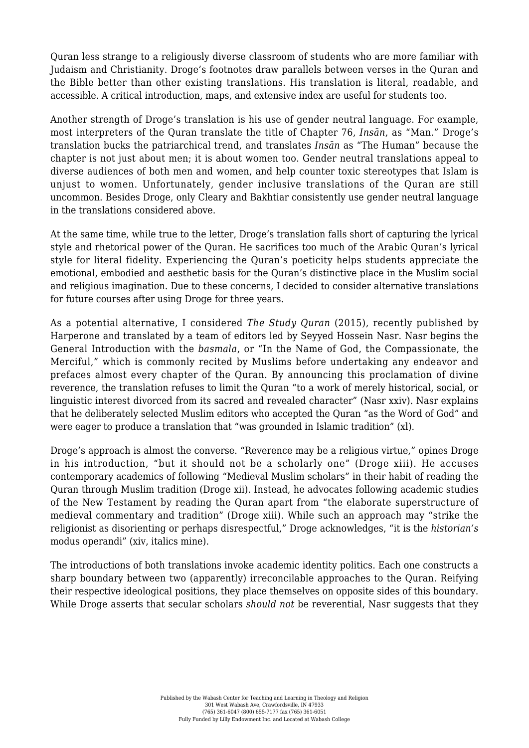Quran less strange to a religiously diverse classroom of students who are more familiar with Judaism and Christianity. Droge's footnotes draw parallels between verses in the Quran and the Bible better than other existing translations. His translation is literal, readable, and accessible. A critical introduction, maps, and extensive index are useful for students too.

Another strength of Droge's translation is his use of gender neutral language. For example, most interpreters of the Quran translate the title of Chapter 76, *Insān*, as "Man." Droge's translation bucks the patriarchical trend, and translates *Insān* as "The Human" because the chapter is not just about men; it is about women too. Gender neutral translations appeal to diverse audiences of both men and women, and help counter toxic stereotypes that Islam is unjust to women. Unfortunately, gender inclusive translations of the Quran are still uncommon. Besides Droge, only Cleary and Bakhtiar consistently use gender neutral language in the translations considered above.

At the same time, while true to the letter, Droge's translation falls short of capturing the lyrical style and rhetorical power of the Quran. He sacrifices too much of the Arabic Quran's lyrical style for literal fidelity. Experiencing the Quran's poeticity helps students appreciate the emotional, embodied and aesthetic basis for the Quran's distinctive place in the Muslim social and religious imagination. Due to these concerns, I decided to consider alternative translations for future courses after using Droge for three years.

As a potential alternative, I considered *The Study Quran* (2015), recently published by Harperone and translated by a team of editors led by Seyyed Hossein Nasr. Nasr begins the General Introduction with the *basmala*, or "In the Name of God, the Compassionate, the Merciful," which is commonly recited by Muslims before undertaking any endeavor and prefaces almost every chapter of the Quran. By announcing this proclamation of divine reverence, the translation refuses to limit the Quran "to a work of merely historical, social, or linguistic interest divorced from its sacred and revealed character" (Nasr xxiv). Nasr explains that he deliberately selected Muslim editors who accepted the Quran "as the Word of God" and were eager to produce a translation that "was grounded in Islamic tradition" (xl).

Droge's approach is almost the converse. "Reverence may be a religious virtue," opines Droge in his introduction, "but it should not be a scholarly one" (Droge xiii). He accuses contemporary academics of following "Medieval Muslim scholars" in their habit of reading the Quran through Muslim tradition (Droge xii). Instead, he advocates following academic studies of the New Testament by reading the Quran apart from "the elaborate superstructure of medieval commentary and tradition" (Droge xiii). While such an approach may "strike the religionist as disorienting or perhaps disrespectful," Droge acknowledges, "it is the *historian's* modus operandi" (xiv, italics mine).

The introductions of both translations invoke academic identity politics. Each one constructs a sharp boundary between two (apparently) irreconcilable approaches to the Quran. Reifying their respective ideological positions, they place themselves on opposite sides of this boundary. While Droge asserts that secular scholars *should not* be reverential, Nasr suggests that they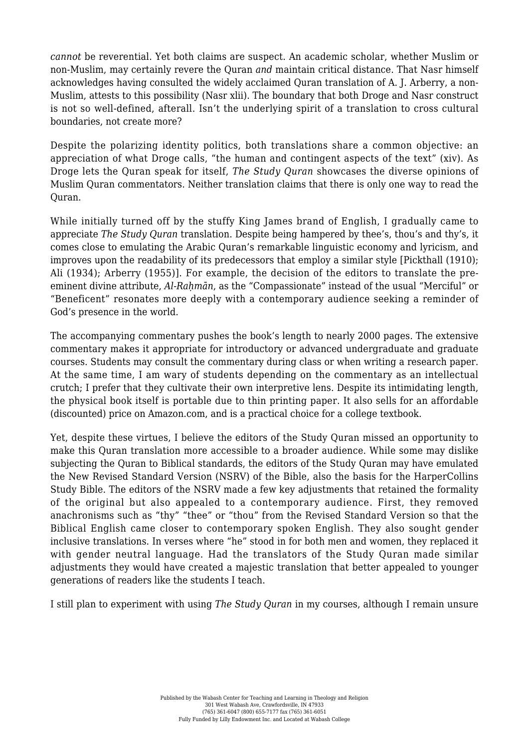*cannot* be reverential. Yet both claims are suspect. An academic scholar, whether Muslim or non-Muslim, may certainly revere the Quran *and* maintain critical distance. That Nasr himself acknowledges having consulted the widely acclaimed Quran translation of A. J. Arberry, a non-Muslim, attests to this possibility (Nasr xlii). The boundary that both Droge and Nasr construct is not so well-defined, afterall. Isn't the underlying spirit of a translation to cross cultural boundaries, not create more?

Despite the polarizing identity politics, both translations share a common objective: an appreciation of what Droge calls, "the human and contingent aspects of the text" (xiv). As Droge lets the Quran speak for itself, *The Study Quran* showcases the diverse opinions of Muslim Quran commentators. Neither translation claims that there is only one way to read the Quran.

While initially turned off by the stuffy King James brand of English, I gradually came to appreciate *The Study Quran* translation. Despite being hampered by thee's, thou's and thy's, it comes close to emulating the Arabic Quran's remarkable linguistic economy and lyricism, and improves upon the readability of its predecessors that employ a similar style [Pickthall (1910); Ali (1934); Arberry (1955)]. For example, the decision of the editors to translate the preeminent divine attribute, *Al-Rahmān*, as the "Compassionate" instead of the usual "Merciful" or "Beneficent" resonates more deeply with a contemporary audience seeking a reminder of God's presence in the world.

The accompanying commentary pushes the book's length to nearly 2000 pages. The extensive commentary makes it appropriate for introductory or advanced undergraduate and graduate courses. Students may consult the commentary during class or when writing a research paper. At the same time, I am wary of students depending on the commentary as an intellectual crutch; I prefer that they cultivate their own interpretive lens. Despite its intimidating length, the physical book itself is portable due to thin printing paper. It also sells for an affordable (discounted) price on Amazon.com, and is a practical choice for a college textbook.

Yet, despite these virtues, I believe the editors of the Study Quran missed an opportunity to make this Quran translation more accessible to a broader audience. While some may dislike subjecting the Quran to Biblical standards, the editors of the Study Quran may have emulated the New Revised Standard Version (NSRV) of the Bible, also the basis for the HarperCollins Study Bible. The editors of the NSRV made a few key adjustments that retained the formality of the original but also appealed to a contemporary audience. First, they removed anachronisms such as "thy" "thee" or "thou" from the Revised Standard Version so that the Biblical English came closer to contemporary spoken English. They also sought gender inclusive translations. In verses where "he" stood in for both men and women, they replaced it with gender neutral language. Had the translators of the Study Quran made similar adjustments they would have created a majestic translation that better appealed to younger generations of readers like the students I teach.

I still plan to experiment with using *The Study Quran* in my courses, although I remain unsure